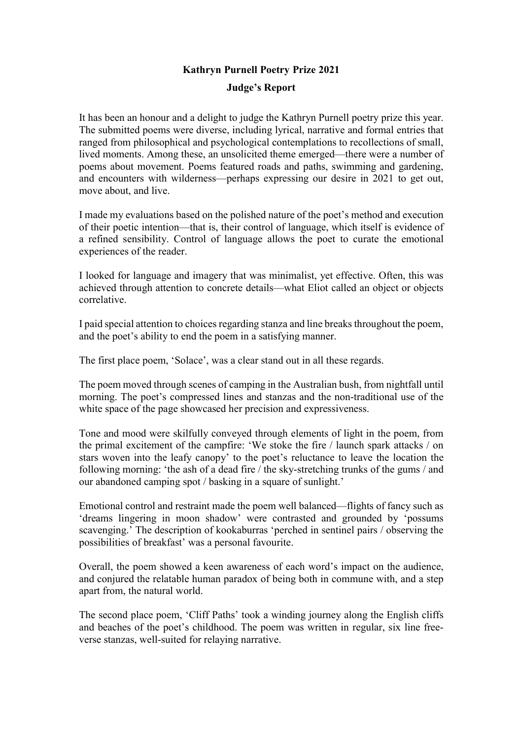## Kathryn Purnell Poetry Prize 2021 Judge's Report

It has been an honour and a delight to judge the Kathryn Purnell poetry prize this year. The submitted poems were diverse, including lyrical, narrative and formal entries that ranged from philosophical and psychological contemplations to recollections of small, lived moments. Among these, an unsolicited theme emerged—there were a number of poems about movement. Poems featured roads and paths, swimming and gardening, and encounters with wilderness—perhaps expressing our desire in 2021 to get out, move about, and live.

I made my evaluations based on the polished nature of the poet's method and execution of their poetic intention—that is, their control of language, which itself is evidence of a refined sensibility. Control of language allows the poet to curate the emotional experiences of the reader.

I looked for language and imagery that was minimalist, yet effective. Often, this was achieved through attention to concrete details—what Eliot called an object or objects correlative.

I paid special attention to choices regarding stanza and line breaks throughout the poem, and the poet's ability to end the poem in a satisfying manner.

The first place poem, 'Solace', was a clear stand out in all these regards.

The poem moved through scenes of camping in the Australian bush, from nightfall until morning. The poet's compressed lines and stanzas and the non-traditional use of the white space of the page showcased her precision and expressiveness.

Tone and mood were skilfully conveyed through elements of light in the poem, from the primal excitement of the campfire: 'We stoke the fire / launch spark attacks / on stars woven into the leafy canopy' to the poet's reluctance to leave the location the following morning: 'the ash of a dead fire / the sky-stretching trunks of the gums / and our abandoned camping spot / basking in a square of sunlight.'

Emotional control and restraint made the poem well balanced—flights of fancy such as 'dreams lingering in moon shadow' were contrasted and grounded by 'possums scavenging.' The description of kookaburras 'perched in sentinel pairs / observing the possibilities of breakfast' was a personal favourite.

Overall, the poem showed a keen awareness of each word's impact on the audience, and conjured the relatable human paradox of being both in commune with, and a step apart from, the natural world.

The second place poem, 'Cliff Paths' took a winding journey along the English cliffs and beaches of the poet's childhood. The poem was written in regular, six line freeverse stanzas, well-suited for relaying narrative.